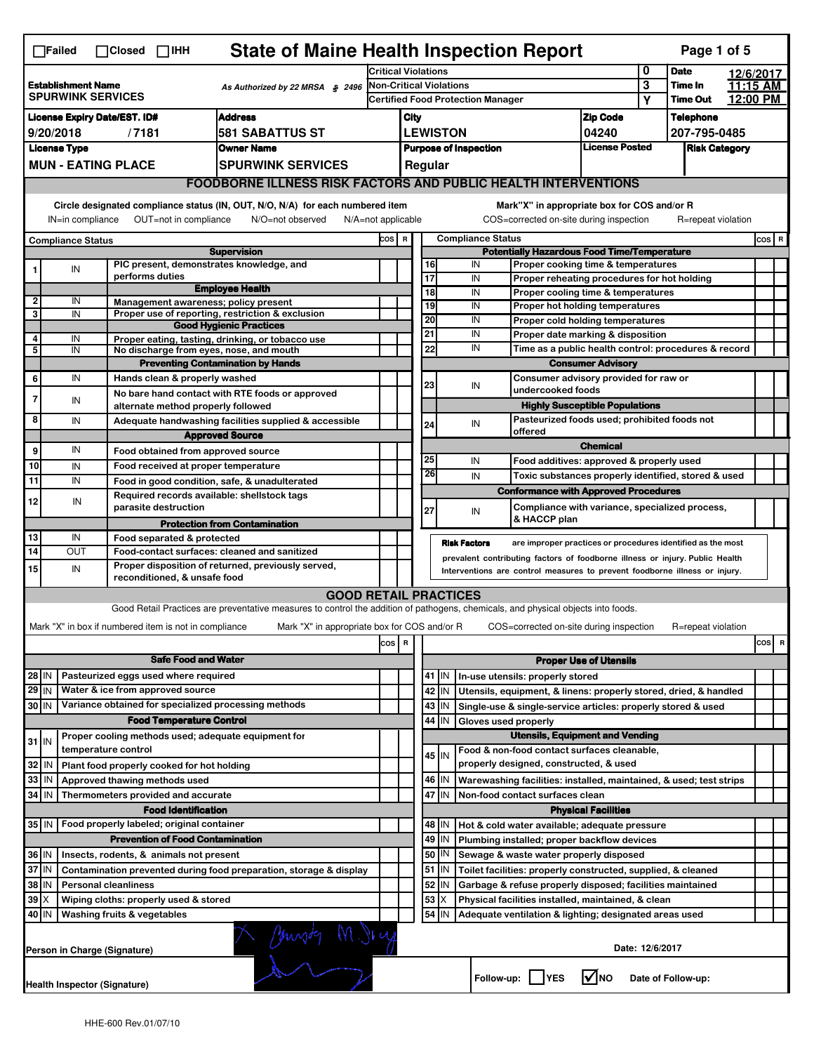|                                                                                                                                                                           | <b>State of Maine Health Inspection Report</b><br>Page 1 of 5<br>$\Box$ Failed<br>$\Box$ Closed $\Box$ IHH |                                        |                                                       |                                                                                                                                   |                                                                                |                                                                               |                                                                                        |         |                                                           |                                                                              |                               |                 |                    |                                |
|---------------------------------------------------------------------------------------------------------------------------------------------------------------------------|------------------------------------------------------------------------------------------------------------|----------------------------------------|-------------------------------------------------------|-----------------------------------------------------------------------------------------------------------------------------------|--------------------------------------------------------------------------------|-------------------------------------------------------------------------------|----------------------------------------------------------------------------------------|---------|-----------------------------------------------------------|------------------------------------------------------------------------------|-------------------------------|-----------------|--------------------|--------------------------------|
|                                                                                                                                                                           |                                                                                                            |                                        | Critical Violations                                   |                                                                                                                                   |                                                                                |                                                                               |                                                                                        | 0       | <b>Date</b>                                               | 12/6/2017                                                                    |                               |                 |                    |                                |
|                                                                                                                                                                           | <b>Establishment Name</b><br>As Authorized by 22 MRSA § 2496<br><b>SPURWINK SERVICES</b>                   |                                        |                                                       |                                                                                                                                   | <b>Non-Critical Violations</b>                                                 |                                                                               |                                                                                        |         |                                                           | 3                                                                            | Time In                       | 11:15 AM        |                    |                                |
|                                                                                                                                                                           |                                                                                                            |                                        |                                                       |                                                                                                                                   | Certified Food Protection Manager                                              |                                                                               |                                                                                        |         |                                                           |                                                                              | Y                             | <b>Time Out</b> | 12:00 PM           |                                |
|                                                                                                                                                                           | <b>Address</b><br><b>License Expiry Date/EST. ID#</b>                                                      |                                        |                                                       |                                                                                                                                   |                                                                                | City                                                                          |                                                                                        |         |                                                           |                                                                              | <b>Zip Code</b>               |                 | <b>Telephone</b>   |                                |
|                                                                                                                                                                           | <b>581 SABATTUS ST</b><br>9/20/2018<br>/7181                                                               |                                        |                                                       |                                                                                                                                   |                                                                                | <b>LEWISTON</b><br>04240                                                      |                                                                                        |         |                                                           |                                                                              | 207-795-0485                  |                 |                    |                                |
|                                                                                                                                                                           | <b>License Type</b><br><b>Owner Name</b>                                                                   |                                        |                                                       |                                                                                                                                   |                                                                                | <b>License Posted</b><br><b>Purpose of Inspection</b><br><b>Risk Category</b> |                                                                                        |         |                                                           |                                                                              |                               |                 |                    |                                |
|                                                                                                                                                                           |                                                                                                            | <b>MUN - EATING PLACE</b>              |                                                       | <b>SPURWINK SERVICES</b>                                                                                                          |                                                                                |                                                                               | Regular                                                                                |         |                                                           |                                                                              |                               |                 |                    |                                |
|                                                                                                                                                                           |                                                                                                            |                                        |                                                       | <b>FOODBORNE ILLNESS RISK FACTORS AND PUBLIC HEALTH INTERVENTIONS</b>                                                             |                                                                                |                                                                               |                                                                                        |         |                                                           |                                                                              |                               |                 |                    |                                |
| Circle designated compliance status (IN, OUT, N/O, N/A) for each numbered item<br>IN=in compliance<br>OUT=not in compliance<br>N/O=not observed<br>$N/A = not$ applicable |                                                                                                            |                                        |                                                       |                                                                                                                                   |                                                                                |                                                                               | Mark"X" in appropriate box for COS and/or R<br>COS=corrected on-site during inspection |         |                                                           | R=repeat violation                                                           |                               |                 |                    |                                |
|                                                                                                                                                                           |                                                                                                            |                                        |                                                       |                                                                                                                                   | COS R                                                                          |                                                                               |                                                                                        |         |                                                           |                                                                              |                               |                 |                    | $\cos   R$                     |
| <b>Compliance Status</b><br><b>Supervision</b>                                                                                                                            |                                                                                                            |                                        |                                                       |                                                                                                                                   | <b>Compliance Status</b><br><b>Potentially Hazardous Food Time/Temperature</b> |                                                                               |                                                                                        |         |                                                           |                                                                              |                               |                 |                    |                                |
| 1                                                                                                                                                                         | IN                                                                                                         |                                        |                                                       | PIC present, demonstrates knowledge, and                                                                                          |                                                                                |                                                                               | 16                                                                                     |         | IN                                                        | Proper cooking time & temperatures                                           |                               |                 |                    |                                |
|                                                                                                                                                                           |                                                                                                            |                                        | performs duties                                       |                                                                                                                                   |                                                                                |                                                                               | $\overline{17}$                                                                        |         | IN                                                        | Proper reheating procedures for hot holding                                  |                               |                 |                    |                                |
| $\overline{\mathbf{2}}$                                                                                                                                                   | IN                                                                                                         |                                        |                                                       | <b>Employee Health</b>                                                                                                            |                                                                                |                                                                               | 18                                                                                     |         | IN                                                        | Proper cooling time & temperatures                                           |                               |                 |                    |                                |
| 3                                                                                                                                                                         | IN                                                                                                         |                                        |                                                       | Management awareness; policy present<br>Proper use of reporting, restriction & exclusion                                          |                                                                                |                                                                               | 19                                                                                     |         | IN                                                        | Proper hot holding temperatures                                              |                               |                 |                    |                                |
|                                                                                                                                                                           |                                                                                                            |                                        |                                                       | <b>Good Hygienic Practices</b>                                                                                                    |                                                                                |                                                                               | 20                                                                                     |         | IN                                                        | Proper cold holding temperatures                                             |                               |                 |                    |                                |
| $\overline{4}$                                                                                                                                                            | IN                                                                                                         |                                        |                                                       | Proper eating, tasting, drinking, or tobacco use                                                                                  |                                                                                |                                                                               | 21                                                                                     |         | IN                                                        | Proper date marking & disposition                                            |                               |                 |                    |                                |
| 5                                                                                                                                                                         | IN                                                                                                         |                                        |                                                       | No discharge from eyes, nose, and mouth                                                                                           |                                                                                |                                                                               | 22                                                                                     |         | IN                                                        | Time as a public health control: procedures & record                         |                               |                 |                    |                                |
|                                                                                                                                                                           |                                                                                                            |                                        |                                                       | <b>Preventing Contamination by Hands</b>                                                                                          |                                                                                |                                                                               |                                                                                        |         |                                                           |                                                                              | <b>Consumer Advisory</b>      |                 |                    |                                |
| 6                                                                                                                                                                         | IN                                                                                                         |                                        | Hands clean & properly washed                         |                                                                                                                                   |                                                                                |                                                                               | 23                                                                                     |         | IN                                                        | Consumer advisory provided for raw or<br>undercooked foods                   |                               |                 |                    |                                |
| $\overline{7}$                                                                                                                                                            | IN                                                                                                         |                                        | alternate method properly followed                    | No bare hand contact with RTE foods or approved                                                                                   |                                                                                |                                                                               |                                                                                        |         |                                                           | <b>Highly Susceptible Populations</b>                                        |                               |                 |                    |                                |
| 8                                                                                                                                                                         | IN                                                                                                         |                                        |                                                       | Adequate handwashing facilities supplied & accessible                                                                             |                                                                                |                                                                               |                                                                                        |         |                                                           | Pasteurized foods used; prohibited foods not                                 |                               |                 |                    |                                |
|                                                                                                                                                                           |                                                                                                            |                                        |                                                       | <b>Approved Source</b>                                                                                                            |                                                                                |                                                                               | 24                                                                                     |         | IN                                                        | offered                                                                      |                               |                 |                    |                                |
| 9                                                                                                                                                                         | IN                                                                                                         |                                        | Food obtained from approved source                    |                                                                                                                                   |                                                                                |                                                                               |                                                                                        |         |                                                           |                                                                              | <b>Chemical</b>               |                 |                    |                                |
| 10                                                                                                                                                                        | IN                                                                                                         |                                        | Food received at proper temperature                   |                                                                                                                                   |                                                                                |                                                                               | 25                                                                                     |         | IN                                                        | Food additives: approved & properly used                                     |                               |                 |                    |                                |
| 11                                                                                                                                                                        | IN                                                                                                         |                                        |                                                       | Food in good condition, safe, & unadulterated                                                                                     |                                                                                |                                                                               | 26                                                                                     |         | IN                                                        | Toxic substances properly identified, stored & used                          |                               |                 |                    |                                |
|                                                                                                                                                                           |                                                                                                            |                                        |                                                       | Required records available: shellstock tags                                                                                       |                                                                                |                                                                               |                                                                                        |         |                                                           | <b>Conformance with Approved Procedures</b>                                  |                               |                 |                    |                                |
| 12                                                                                                                                                                        | IN                                                                                                         |                                        | parasite destruction                                  |                                                                                                                                   |                                                                                |                                                                               | 27                                                                                     |         | IN                                                        | Compliance with variance, specialized process,                               |                               |                 |                    |                                |
|                                                                                                                                                                           |                                                                                                            |                                        |                                                       | <b>Protection from Contamination</b>                                                                                              |                                                                                |                                                                               |                                                                                        |         |                                                           | & HACCP plan                                                                 |                               |                 |                    |                                |
| 13                                                                                                                                                                        | IN                                                                                                         |                                        | Food separated & protected                            |                                                                                                                                   |                                                                                |                                                                               |                                                                                        |         | <b>Risk Factors</b>                                       | are improper practices or procedures identified as the most                  |                               |                 |                    |                                |
| 14                                                                                                                                                                        | <b>OUT</b>                                                                                                 |                                        |                                                       | Food-contact surfaces: cleaned and sanitized                                                                                      |                                                                                |                                                                               |                                                                                        |         |                                                           | prevalent contributing factors of foodborne illness or injury. Public Health |                               |                 |                    |                                |
| 15                                                                                                                                                                        | IN                                                                                                         |                                        |                                                       | Proper disposition of returned, previously served,                                                                                |                                                                                |                                                                               |                                                                                        |         |                                                           | Interventions are control measures to prevent foodborne illness or injury.   |                               |                 |                    |                                |
|                                                                                                                                                                           |                                                                                                            |                                        | reconditioned, & unsafe food                          |                                                                                                                                   |                                                                                |                                                                               |                                                                                        |         |                                                           |                                                                              |                               |                 |                    |                                |
|                                                                                                                                                                           |                                                                                                            |                                        |                                                       | <b>GOOD RETAIL PRACTICES</b>                                                                                                      |                                                                                |                                                                               |                                                                                        |         |                                                           |                                                                              |                               |                 |                    |                                |
|                                                                                                                                                                           |                                                                                                            |                                        |                                                       | Good Retail Practices are preventative measures to control the addition of pathogens, chemicals, and physical objects into foods. |                                                                                |                                                                               |                                                                                        |         |                                                           |                                                                              |                               |                 |                    |                                |
|                                                                                                                                                                           |                                                                                                            |                                        | Mark "X" in box if numbered item is not in compliance | Mark "X" in appropriate box for COS and/or R                                                                                      |                                                                                |                                                                               |                                                                                        |         |                                                           | COS=corrected on-site during inspection                                      |                               |                 | R=repeat violation |                                |
|                                                                                                                                                                           |                                                                                                            |                                        |                                                       |                                                                                                                                   | cos R                                                                          |                                                                               |                                                                                        |         |                                                           |                                                                              |                               |                 |                    | cos<br>$\overline{\mathbf{R}}$ |
|                                                                                                                                                                           |                                                                                                            |                                        | <b>Safe Food and Water</b>                            |                                                                                                                                   |                                                                                |                                                                               |                                                                                        |         |                                                           |                                                                              | <b>Proper Use of Utensils</b> |                 |                    |                                |
| 28 IN                                                                                                                                                                     |                                                                                                            |                                        | Pasteurized eggs used where required                  |                                                                                                                                   |                                                                                |                                                                               |                                                                                        | $41$ IN |                                                           | In-use utensils: properly stored                                             |                               |                 |                    |                                |
| $29$ IN                                                                                                                                                                   |                                                                                                            |                                        | Water & ice from approved source                      |                                                                                                                                   |                                                                                |                                                                               | 42                                                                                     | IN      |                                                           | Utensils, equipment, & linens: properly stored, dried, & handled             |                               |                 |                    |                                |
| $30$ IN                                                                                                                                                                   |                                                                                                            |                                        |                                                       | Variance obtained for specialized processing methods                                                                              |                                                                                |                                                                               | 43                                                                                     | IN.     |                                                           | Single-use & single-service articles: properly stored & used                 |                               |                 |                    |                                |
|                                                                                                                                                                           |                                                                                                            |                                        | <b>Food Temperature Control</b>                       |                                                                                                                                   |                                                                                |                                                                               | 44                                                                                     | IN      | Gloves used properly                                      |                                                                              |                               |                 |                    |                                |
| $31$ IN                                                                                                                                                                   |                                                                                                            |                                        |                                                       | Proper cooling methods used; adequate equipment for                                                                               |                                                                                |                                                                               |                                                                                        |         |                                                           | <b>Utensils, Equipment and Vending</b>                                       |                               |                 |                    |                                |
|                                                                                                                                                                           |                                                                                                            | temperature control                    |                                                       |                                                                                                                                   |                                                                                |                                                                               |                                                                                        | $45$ IN |                                                           | Food & non-food contact surfaces cleanable,                                  |                               |                 |                    |                                |
| 32 IN                                                                                                                                                                     |                                                                                                            |                                        | Plant food properly cooked for hot holding            |                                                                                                                                   |                                                                                |                                                                               |                                                                                        |         |                                                           | properly designed, constructed, & used                                       |                               |                 |                    |                                |
| 33                                                                                                                                                                        | l IN                                                                                                       |                                        | Approved thawing methods used                         |                                                                                                                                   |                                                                                |                                                                               | 46                                                                                     | IN.     |                                                           | Warewashing facilities: installed, maintained, & used; test strips           |                               |                 |                    |                                |
| $34$ IN                                                                                                                                                                   |                                                                                                            |                                        | Thermometers provided and accurate                    |                                                                                                                                   |                                                                                |                                                                               | 47                                                                                     | IN.     |                                                           | Non-food contact surfaces clean                                              |                               |                 |                    |                                |
|                                                                                                                                                                           |                                                                                                            |                                        | <b>Food Identification</b>                            |                                                                                                                                   |                                                                                |                                                                               |                                                                                        |         |                                                           |                                                                              | <b>Physical Facilities</b>    |                 |                    |                                |
| $35$ IN                                                                                                                                                                   |                                                                                                            |                                        | Food properly labeled; original container             |                                                                                                                                   |                                                                                |                                                                               |                                                                                        | 48   IN |                                                           | Hot & cold water available; adequate pressure                                |                               |                 |                    |                                |
|                                                                                                                                                                           |                                                                                                            |                                        | <b>Prevention of Food Contamination</b>               |                                                                                                                                   |                                                                                |                                                                               | 49                                                                                     | IN.     |                                                           | Plumbing installed; proper backflow devices                                  |                               |                 |                    |                                |
|                                                                                                                                                                           | 36 IN<br>Insects, rodents, & animals not present                                                           |                                        |                                                       |                                                                                                                                   |                                                                                |                                                                               | 50<br>IN<br>Sewage & waste water properly disposed                                     |         |                                                           |                                                                              |                               |                 |                    |                                |
|                                                                                                                                                                           | 37 IN<br>Contamination prevented during food preparation, storage & display                                |                                        |                                                       |                                                                                                                                   |                                                                                |                                                                               | 51                                                                                     | ΙM      |                                                           | Toilet facilities: properly constructed, supplied, & cleaned                 |                               |                 |                    |                                |
|                                                                                                                                                                           | 38 IN<br><b>Personal cleanliness</b>                                                                       |                                        |                                                       |                                                                                                                                   |                                                                                |                                                                               | $52$ M                                                                                 |         | Garbage & refuse properly disposed; facilities maintained |                                                                              |                               |                 |                    |                                |
| $39 \times$                                                                                                                                                               |                                                                                                            |                                        | Wiping cloths: properly used & stored                 |                                                                                                                                   |                                                                                |                                                                               | 53                                                                                     | X       |                                                           | Physical facilities installed, maintained, & clean                           |                               |                 |                    |                                |
| 40 IN                                                                                                                                                                     |                                                                                                            | <b>Washing fruits &amp; vegetables</b> |                                                       |                                                                                                                                   |                                                                                |                                                                               |                                                                                        | 54 IN   |                                                           | Adequate ventilation & lighting; designated areas used                       |                               |                 |                    |                                |
|                                                                                                                                                                           | M. Jurisdes M. Jing<br>Date: 12/6/2017<br>Person in Charge (Signature)                                     |                                        |                                                       |                                                                                                                                   |                                                                                |                                                                               |                                                                                        |         |                                                           |                                                                              |                               |                 |                    |                                |
|                                                                                                                                                                           | ∣√мо<br>Follow-up:     YES<br>Date of Follow-up:<br><b>Health Inspector (Signature)</b>                    |                                        |                                                       |                                                                                                                                   |                                                                                |                                                                               |                                                                                        |         |                                                           |                                                                              |                               |                 |                    |                                |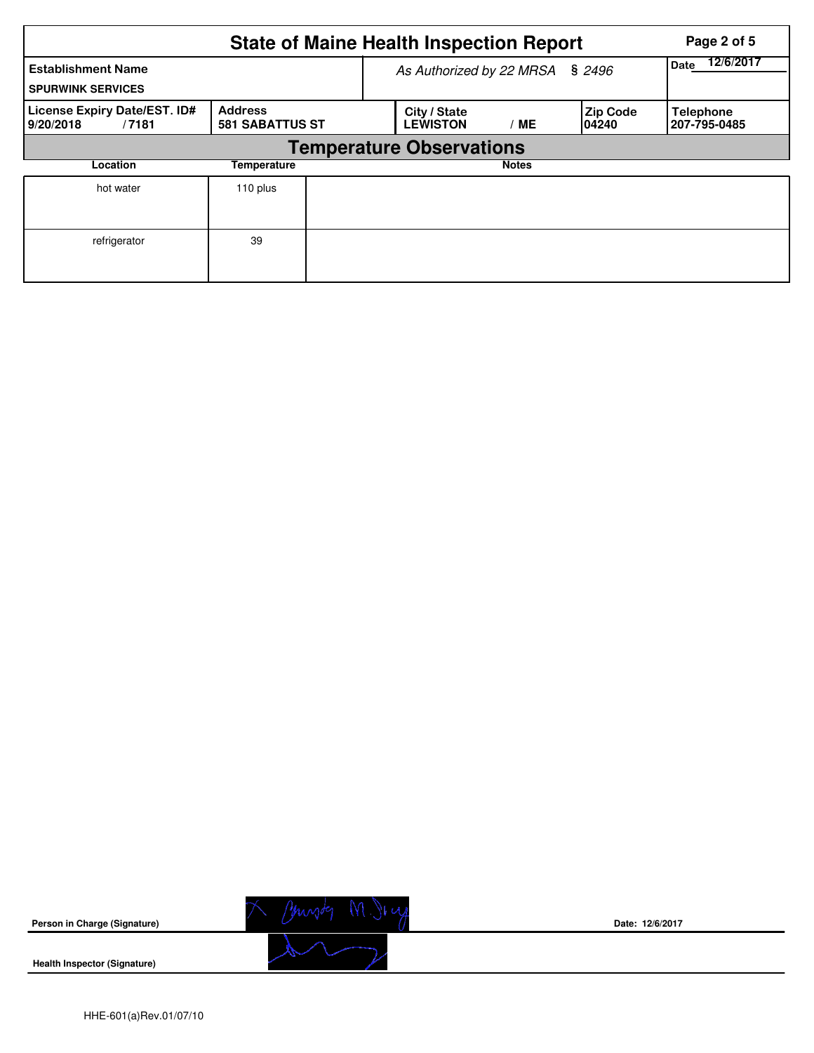|                                                                                                |          |                          | <b>State of Maine Health Inspection Report</b> | Page 2 of 5 |                           |                                  |
|------------------------------------------------------------------------------------------------|----------|--------------------------|------------------------------------------------|-------------|---------------------------|----------------------------------|
| <b>Establishment Name</b><br><b>SPURWINK SERVICES</b>                                          |          | As Authorized by 22 MRSA | 12/6/2017<br>Date                              |             |                           |                                  |
| License Expiry Date/EST. ID#<br><b>Address</b><br><b>581 SABATTUS ST</b><br>9/20/2018<br>/7181 |          |                          | City / State<br><b>LEWISTON</b>                | ' ME        | <b>Zip Code</b><br>104240 | <b>Telephone</b><br>207-795-0485 |
|                                                                                                |          |                          | <b>Temperature Observations</b>                |             |                           |                                  |
| Location                                                                                       |          |                          | <b>Notes</b>                                   |             |                           |                                  |
| hot water                                                                                      | 110 plus |                          |                                                |             |                           |                                  |
| refrigerator                                                                                   | 39       |                          |                                                |             |                           |                                  |

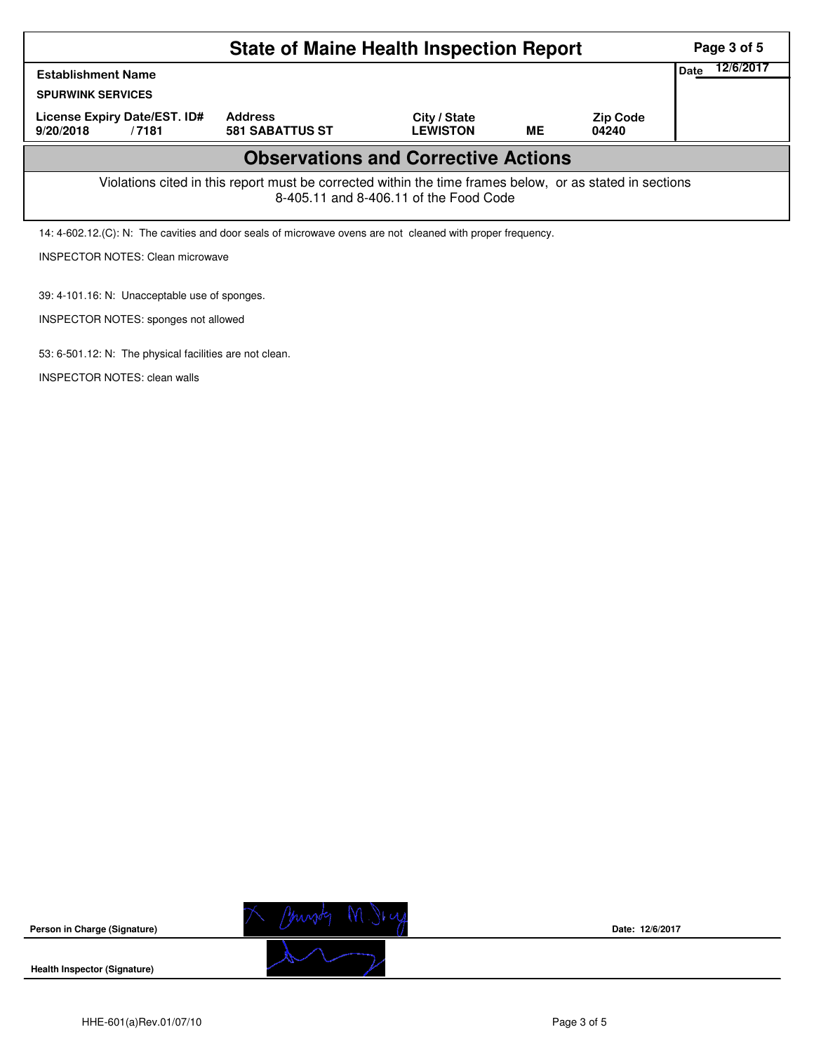| <b>State of Maine Health Inspection Report</b>                                                                                                     |                                          |                                 |    |                          |  |  |  |  |  |  |
|----------------------------------------------------------------------------------------------------------------------------------------------------|------------------------------------------|---------------------------------|----|--------------------------|--|--|--|--|--|--|
| Date<br><b>Establishment Name</b><br><b>SPURWINK SERVICES</b>                                                                                      |                                          |                                 |    |                          |  |  |  |  |  |  |
| License Expiry Date/EST. ID#<br>9/20/2018<br>/7181                                                                                                 | <b>Address</b><br><b>581 SABATTUS ST</b> | City / State<br><b>LEWISTON</b> | ME | <b>Zip Code</b><br>04240 |  |  |  |  |  |  |
| <b>Observations and Corrective Actions</b>                                                                                                         |                                          |                                 |    |                          |  |  |  |  |  |  |
| Violations cited in this report must be corrected within the time frames below, or as stated in sections<br>8-405.11 and 8-406.11 of the Food Code |                                          |                                 |    |                          |  |  |  |  |  |  |
| 14: 4-602.12. (C): N: The cavities and door seals of microwave ovens are not cleaned with proper frequency.                                        |                                          |                                 |    |                          |  |  |  |  |  |  |
| <b>INSPECTOR NOTES: Clean microwave</b>                                                                                                            |                                          |                                 |    |                          |  |  |  |  |  |  |

39: 4-101.16: N: Unacceptable use of sponges.

INSPECTOR NOTES: sponges not allowed

53: 6-501.12: N: The physical facilities are not clean.

INSPECTOR NOTES: clean walls



**Date: 12/6/2017**

**Health Inspector (Signature)** 

**Person in Charge (Signature)**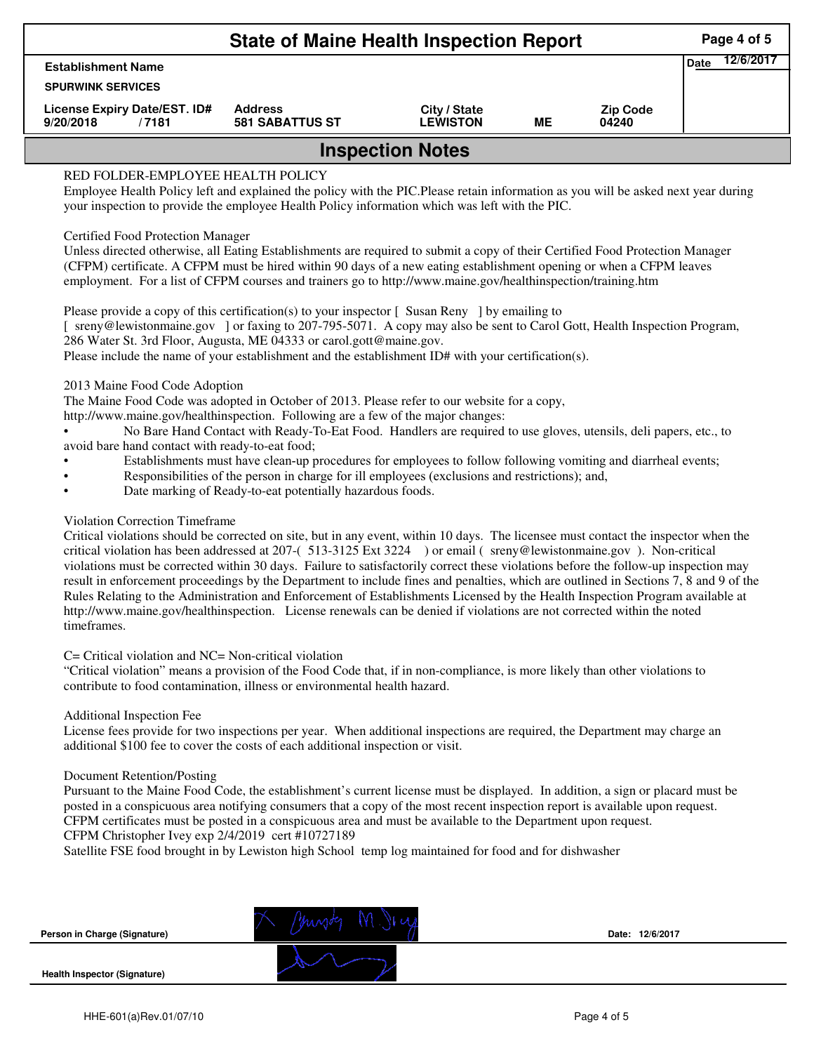|                                                    |                                          | Page 4 of 5                     |    |                          |  |  |  |  |  |
|----------------------------------------------------|------------------------------------------|---------------------------------|----|--------------------------|--|--|--|--|--|
| <b>Establishment Name</b>                          | Date                                     | 12/6/2017                       |    |                          |  |  |  |  |  |
| <b>SPURWINK SERVICES</b>                           |                                          |                                 |    |                          |  |  |  |  |  |
| License Expiry Date/EST. ID#<br>9/20/2018<br>/7181 | <b>Address</b><br><b>581 SABATTUS ST</b> | City / State<br><b>LEWISTON</b> | ME | <b>Zip Code</b><br>04240 |  |  |  |  |  |
| <b>Inspection Notes</b>                            |                                          |                                 |    |                          |  |  |  |  |  |

## RED FOLDER-EMPLOYEE HEALTH POLICY

Employee Health Policy left and explained the policy with the PIC.Please retain information as you will be asked next year during your inspection to provide the employee Health Policy information which was left with the PIC.

## Certified Food Protection Manager

Unless directed otherwise, all Eating Establishments are required to submit a copy of their Certified Food Protection Manager (CFPM) certificate. A CFPM must be hired within 90 days of a new eating establishment opening or when a CFPM leaves employment. For a list of CFPM courses and trainers go to http://www.maine.gov/healthinspection/training.htm

Please provide a copy of this certification(s) to your inspector [Susan Reny ] by emailing to [ sreny@lewistonmaine.gov ] or faxing to 207-795-5071. A copy may also be sent to Carol Gott, Health Inspection Program, 286 Water St. 3rd Floor, Augusta, ME 04333 or carol.gott@maine.gov.

Please include the name of your establishment and the establishment ID# with your certification(s).

2013 Maine Food Code Adoption

The Maine Food Code was adopted in October of 2013. Please refer to our website for a copy,

http://www.maine.gov/healthinspection. Following are a few of the major changes:

• No Bare Hand Contact with Ready-To-Eat Food. Handlers are required to use gloves, utensils, deli papers, etc., to avoid bare hand contact with ready-to-eat food;

- Establishments must have clean-up procedures for employees to follow following vomiting and diarrheal events;
- Responsibilities of the person in charge for ill employees (exclusions and restrictions); and,
- Date marking of Ready-to-eat potentially hazardous foods.

## Violation Correction Timeframe

Critical violations should be corrected on site, but in any event, within 10 days. The licensee must contact the inspector when the critical violation has been addressed at 207-( 513-3125 Ext 3224 ) or email ( sreny@lewistonmaine.gov ). Non-critical violations must be corrected within 30 days. Failure to satisfactorily correct these violations before the follow-up inspection may result in enforcement proceedings by the Department to include fines and penalties, which are outlined in Sections 7, 8 and 9 of the Rules Relating to the Administration and Enforcement of Establishments Licensed by the Health Inspection Program available at http://www.maine.gov/healthinspection. License renewals can be denied if violations are not corrected within the noted timeframes.

#### C= Critical violation and NC= Non-critical violation

"Critical violation" means a provision of the Food Code that, if in non-compliance, is more likely than other violations to contribute to food contamination, illness or environmental health hazard.

#### Additional Inspection Fee

License fees provide for two inspections per year. When additional inspections are required, the Department may charge an additional \$100 fee to cover the costs of each additional inspection or visit.

#### Document Retention/Posting

Pursuant to the Maine Food Code, the establishment's current license must be displayed. In addition, a sign or placard must be posted in a conspicuous area notifying consumers that a copy of the most recent inspection report is available upon request. CFPM certificates must be posted in a conspicuous area and must be available to the Department upon request.

# CFPM Christopher Ivey exp 2/4/2019 cert #10727189

Satellite FSE food brought in by Lewiston high School temp log maintained for food and for dishwasher